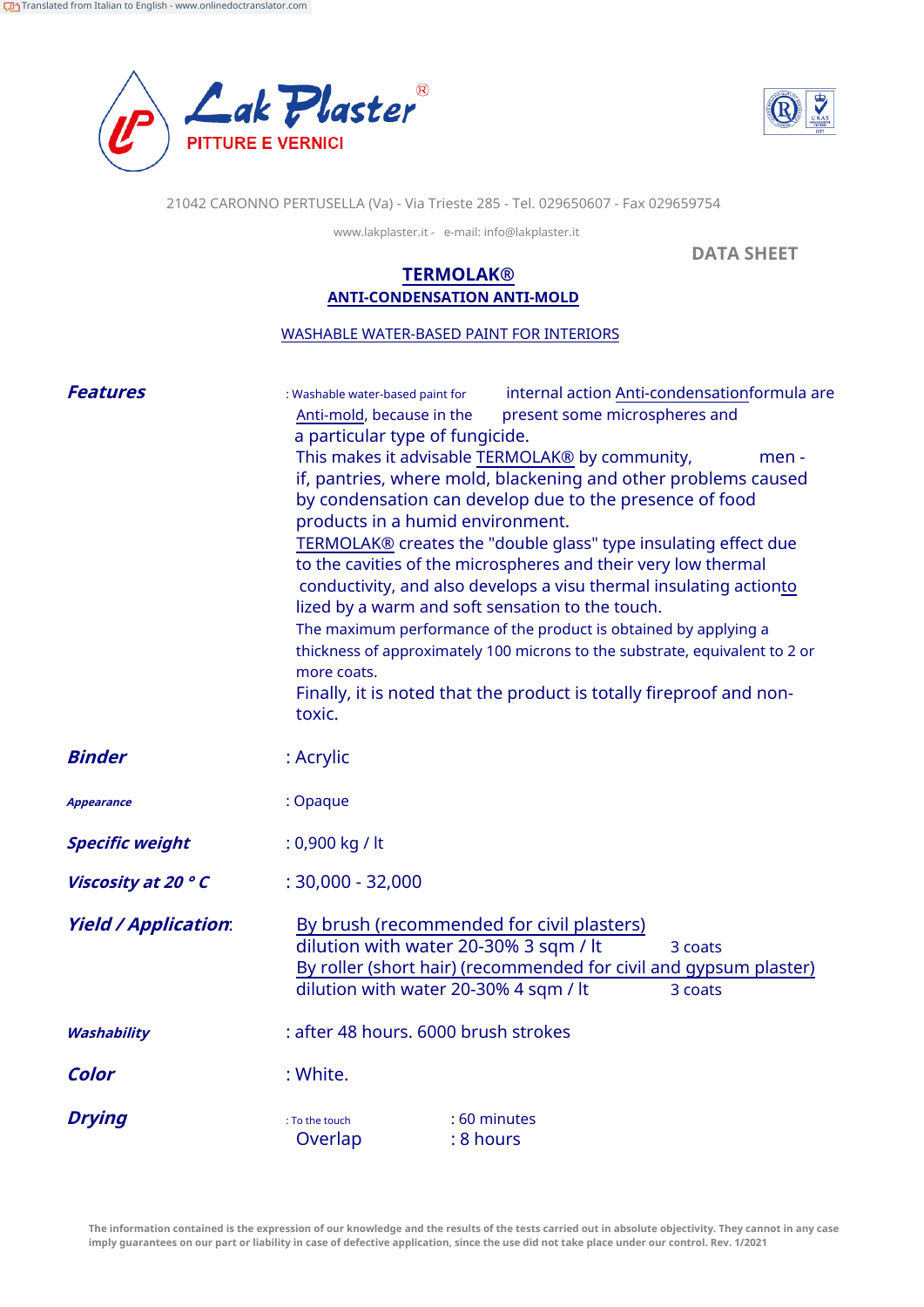



21042 CARONNO PERTUSELLA (Va) - Via Trieste 285 - Tel. 029650607 - Fax 029659754

www.lakplaster.it - e-mail: info@lakplaster.it

**DATA SHEET**

## **TERMOLAK® ANTI-CONDENSATION ANTI-MOLD**

WASHABLE WATER-BASED PAINT FOR INTERIORS

| <b>Features</b>             | internal action Anti-condensationformula are<br>: Washable water-based paint for<br>Anti-mold, because in the<br>present some microspheres and<br>a particular type of fungicide.<br>This makes it advisable TERMOLAK® by community,<br>men -<br>if, pantries, where mold, blackening and other problems caused<br>by condensation can develop due to the presence of food<br>products in a humid environment.<br>TERMOLAK® creates the "double glass" type insulating effect due<br>to the cavities of the microspheres and their very low thermal<br>conductivity, and also develops a visu thermal insulating actionto<br>lized by a warm and soft sensation to the touch.<br>The maximum performance of the product is obtained by applying a<br>thickness of approximately 100 microns to the substrate, equivalent to 2 or<br>more coats.<br>Finally, it is noted that the product is totally fireproof and non-<br>toxic. |
|-----------------------------|----------------------------------------------------------------------------------------------------------------------------------------------------------------------------------------------------------------------------------------------------------------------------------------------------------------------------------------------------------------------------------------------------------------------------------------------------------------------------------------------------------------------------------------------------------------------------------------------------------------------------------------------------------------------------------------------------------------------------------------------------------------------------------------------------------------------------------------------------------------------------------------------------------------------------------|
| <b>Binder</b>               | : Acrylic                                                                                                                                                                                                                                                                                                                                                                                                                                                                                                                                                                                                                                                                                                                                                                                                                                                                                                                        |
| <b>Appearance</b>           | : Opaque                                                                                                                                                                                                                                                                                                                                                                                                                                                                                                                                                                                                                                                                                                                                                                                                                                                                                                                         |
| <b>Specific weight</b>      | $: 0,900$ kg / lt                                                                                                                                                                                                                                                                                                                                                                                                                                                                                                                                                                                                                                                                                                                                                                                                                                                                                                                |
| Viscosity at 20 ° C         | $: 30,000 - 32,000$                                                                                                                                                                                                                                                                                                                                                                                                                                                                                                                                                                                                                                                                                                                                                                                                                                                                                                              |
| <b>Yield / Application:</b> | By brush (recommended for civil plasters)<br>dilution with water 20-30% 3 sqm / lt<br>3 coats<br>By roller (short hair) (recommended for civil and gypsum plaster)<br>dilution with water 20-30% 4 sqm / lt<br>3 coats                                                                                                                                                                                                                                                                                                                                                                                                                                                                                                                                                                                                                                                                                                           |
| Washability                 | : after 48 hours. 6000 brush strokes                                                                                                                                                                                                                                                                                                                                                                                                                                                                                                                                                                                                                                                                                                                                                                                                                                                                                             |
| Color                       | : White.                                                                                                                                                                                                                                                                                                                                                                                                                                                                                                                                                                                                                                                                                                                                                                                                                                                                                                                         |
| <b>Drying</b>               | : 60 minutes<br>: To the touch<br>Overlap<br>: 8 hours                                                                                                                                                                                                                                                                                                                                                                                                                                                                                                                                                                                                                                                                                                                                                                                                                                                                           |